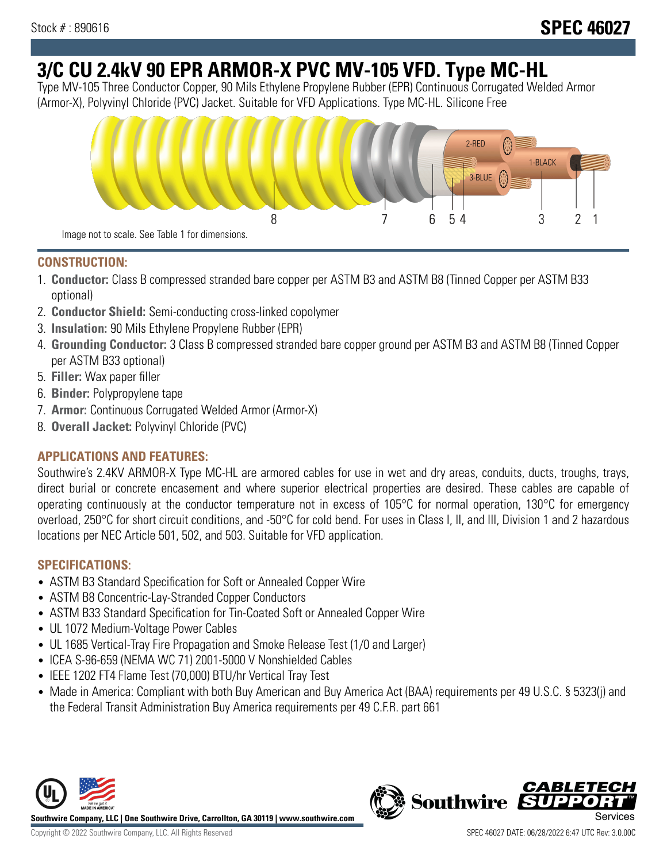# **3/C CU 2.4kV 90 EPR ARMOR-X PVC MV-105 VFD. Type MC-HL**

Type MV-105 Three Conductor Copper, 90 Mils Ethylene Propylene Rubber (EPR) Continuous Corrugated Welded Armor (Armor-X), Polyvinyl Chloride (PVC) Jacket. Suitable for VFD Applications. Type MC-HL. Silicone Free



### **CONSTRUCTION:**

- 1. **Conductor:** Class B compressed stranded bare copper per ASTM B3 and ASTM B8 (Tinned Copper per ASTM B33 optional)
- 2. **Conductor Shield:** Semi-conducting cross-linked copolymer
- 3. **Insulation:** 90 Mils Ethylene Propylene Rubber (EPR)
- 4. **Grounding Conductor:** 3 Class B compressed stranded bare copper ground per ASTM B3 and ASTM B8 (Tinned Copper per ASTM B33 optional)
- 5. **Filler:** Wax paper filler
- 6. **Binder:** Polypropylene tape
- 7. **Armor:** Continuous Corrugated Welded Armor (Armor-X)
- 8. **Overall Jacket:** Polyvinyl Chloride (PVC)

# **APPLICATIONS AND FEATURES:**

Southwire's 2.4KV ARMOR-X Type MC-HL are armored cables for use in wet and dry areas, conduits, ducts, troughs, trays, direct burial or concrete encasement and where superior electrical properties are desired. These cables are capable of operating continuously at the conductor temperature not in excess of 105°C for normal operation, 130°C for emergency overload, 250°C for short circuit conditions, and -50°C for cold bend. For uses in Class I, II, and III, Division 1 and 2 hazardous locations per NEC Article 501, 502, and 503. Suitable for VFD application.

## **SPECIFICATIONS:**

- ASTM B3 Standard Specification for Soft or Annealed Copper Wire
- ASTM B8 Concentric-Lay-Stranded Copper Conductors
- ASTM B33 Standard Specification for Tin-Coated Soft or Annealed Copper Wire
- UL 1072 Medium-Voltage Power Cables
- UL 1685 Vertical-Tray Fire Propagation and Smoke Release Test (1/0 and Larger)
- ICEA S-96-659 (NEMA WC 71) 2001-5000 V Nonshielded Cables
- IEEE 1202 FT4 Flame Test (70,000) BTU/hr Vertical Tray Test
- Made in America: Compliant with both Buy American and Buy America Act (BAA) requirements per 49 U.S.C. § 5323(j) and the Federal Transit Administration Buy America requirements per 49 C.F.R. part 661